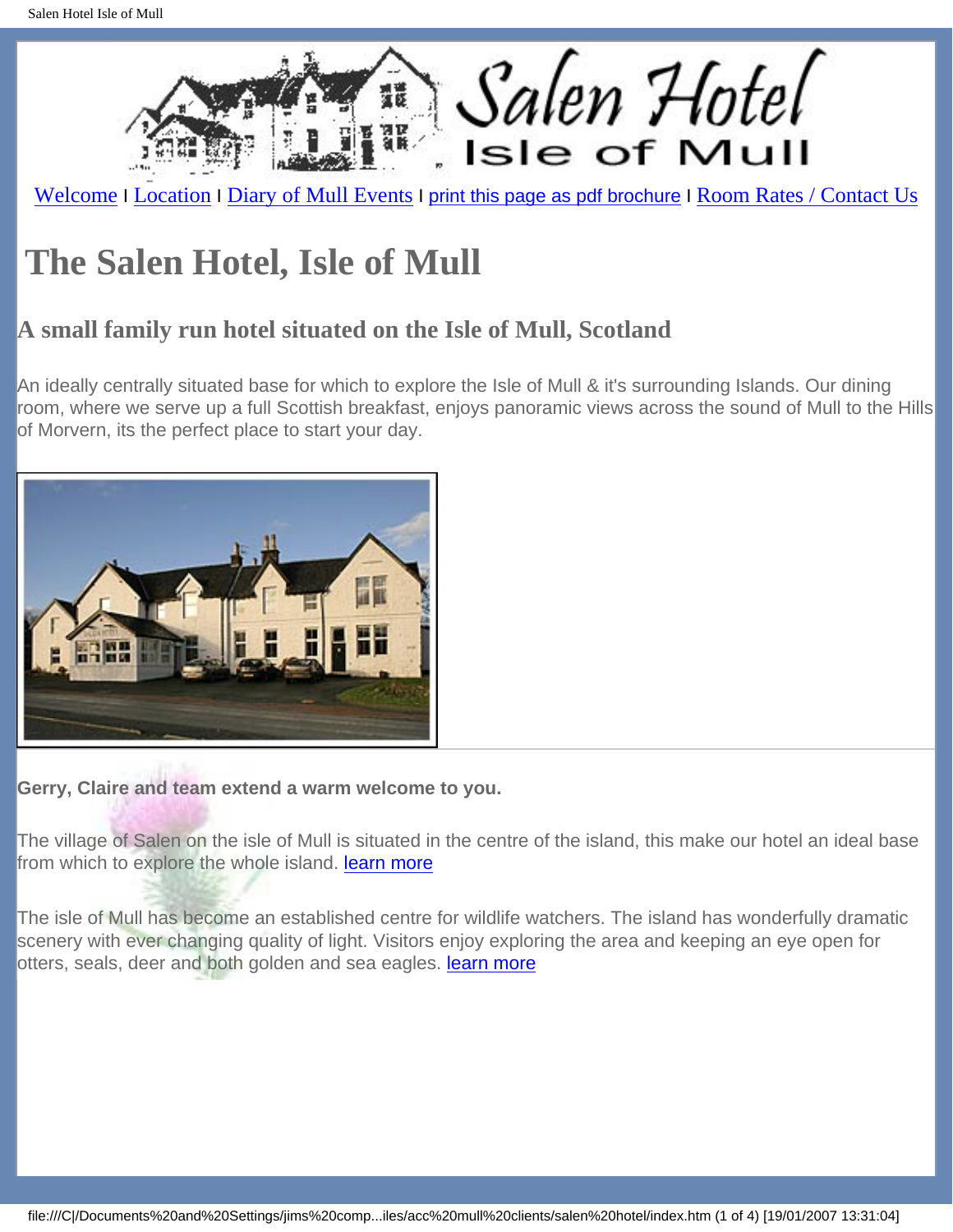<span id="page-0-0"></span>

[Welcome](#page-0-0) I [Location](file:///C|/Documents%20and%20Settings/jims%20computer/My%20Documents/jim140604/acc%20mull%20files/acc%20mull%20clients/salen%20hotel/location.htm) I [Diary of Mull Events](file:///C|/Documents%20and%20Settings/jims%20computer/My%20Documents/jim140604/acc%20mull%20files/acc%20mull%20clients/salen%20hotel/diary.htm) I [print this page as pdf brochure](file:///C|/Documents%20and%20Settings/jims%20computer/My%20Documents/jim140604/acc%20mull%20files/acc%20mull%20clients/salen%20hotel/brochure.pdf) I [Room Rates / Contact Us](file:///C|/Documents%20and%20Settings/jims%20computer/My%20Documents/jim140604/acc%20mull%20files/acc%20mull%20clients/salen%20hotel/contact.htm)

## **The Salen Hotel, Isle of Mull**

## **A small family run hotel situated on the Isle of Mull, Scotland**

An ideally centrally situated base for which to explore the Isle of Mull & it's surrounding Islands. Our dining room, where we serve up a full Scottish breakfast, enjoys panoramic views across the sound of Mull to the Hills of Morvern, its the perfect place to start your day.



**Gerry, Claire and team extend a warm welcome to you.** 

The village of Salen on the isle of Mull is situated in the centre of the island, this make our hotel an ideal base from which to explore the whole island. [learn more](file:///C|/Documents%20and%20Settings/jims%20computer/My%20Documents/jim140604/acc%20mull%20files/acc%20mull%20clients/salen%20hotel/attractions.htm)

The isle of Mull has become an established centre for wildlife watchers. The island has wonderfully dramatic scenery with ever changing quality of light. Visitors enjoy exploring the area and keeping an eye open for otters, seals, deer and both golden and sea eagles. **learn more**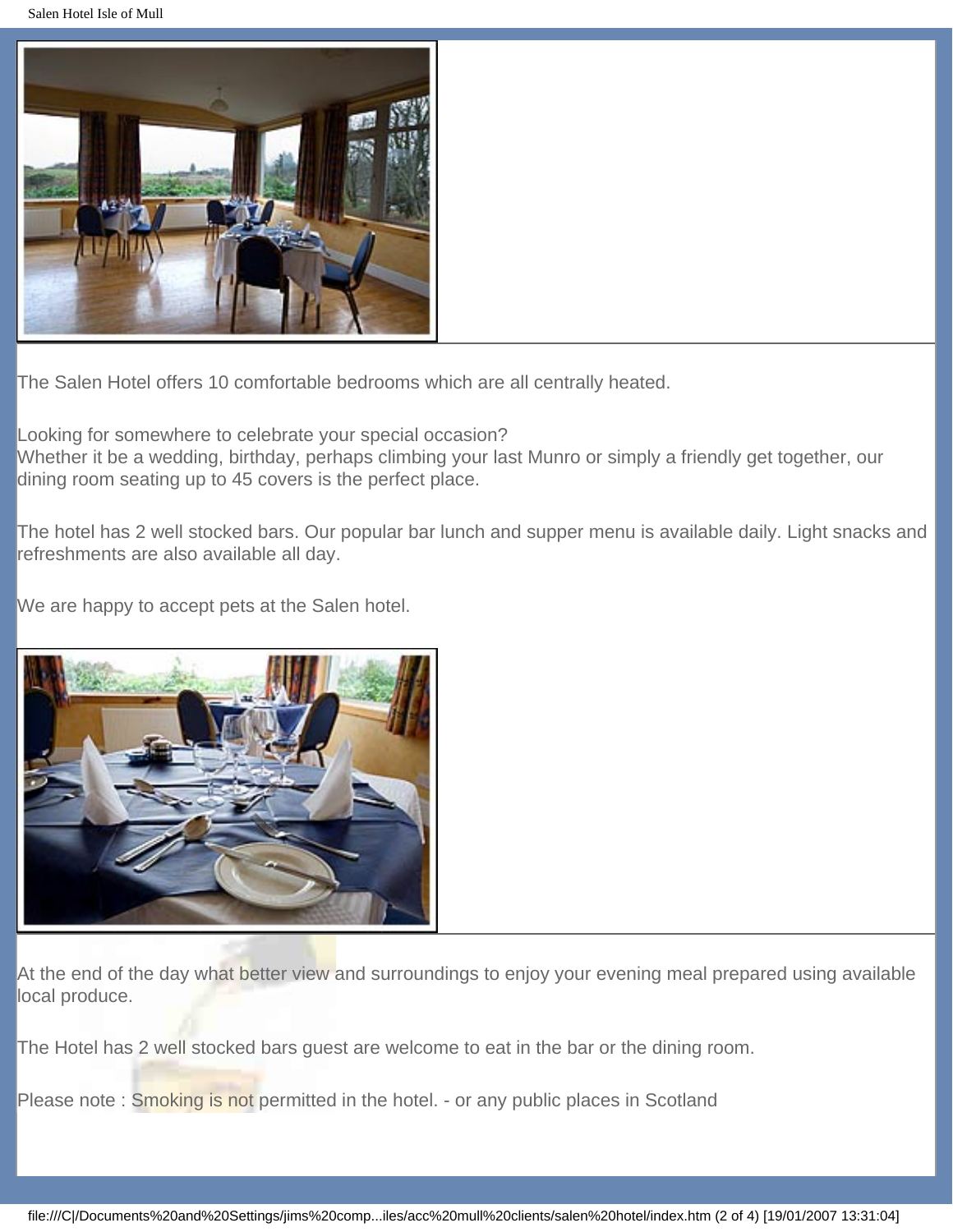Salen Hotel Isle of Mull



The Salen Hotel offers 10 comfortable bedrooms which are all centrally heated.

Looking for somewhere to celebrate your special occasion?

Whether it be a wedding, birthday, perhaps climbing your last Munro or simply a friendly get together, our dining room seating up to 45 covers is the perfect place.

The hotel has 2 well stocked bars. Our popular bar lunch and supper menu is available daily. Light snacks and refreshments are also available all day.

We are happy to accept pets at the Salen hotel.



At the end of the day what better view and surroundings to enjoy your evening meal prepared using available local produce.

The Hotel has 2 well stocked bars guest are welcome to eat in the bar or the dining room.

Please note: Smoking is not permitted in the hotel. - or any public places in Scotland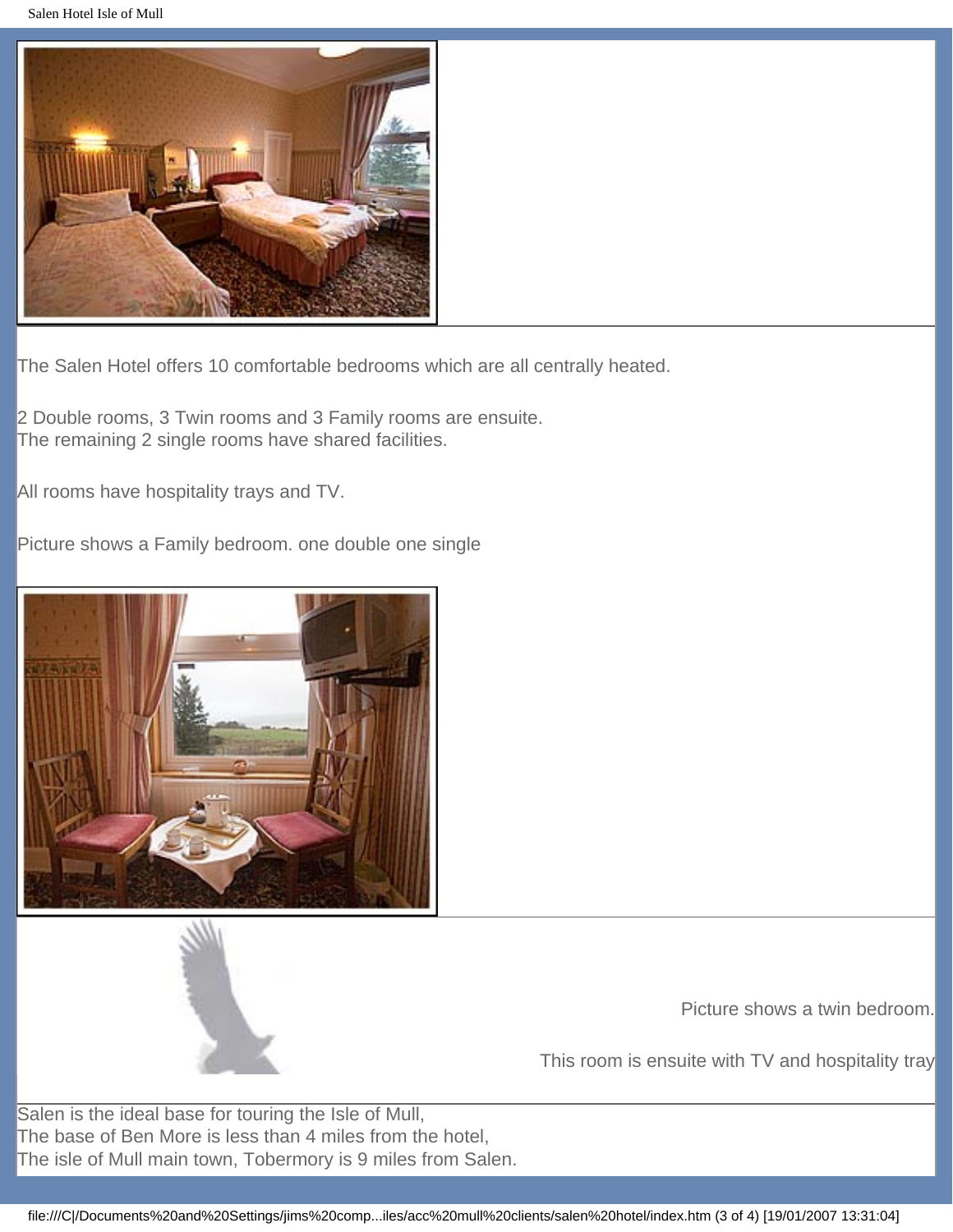Salen Hotel Isle of Mull



The Salen Hotel offers 10 comfortable bedrooms which are all centrally heated.

2 Double rooms, 3 Twin rooms and 3 Family rooms are ensuite. The remaining 2 single rooms have shared facilities.

All rooms have hospitality trays and TV.

Picture shows a Family bedroom. one double one single





Picture shows a twin bedroom.

This room is ensuite with TV and hospitality tray

Salen is the ideal base for touring the Isle of Mull, The base of Ben More is less than 4 miles from the hotel, The isle of Mull main town, Tobermory is 9 miles from Salen.